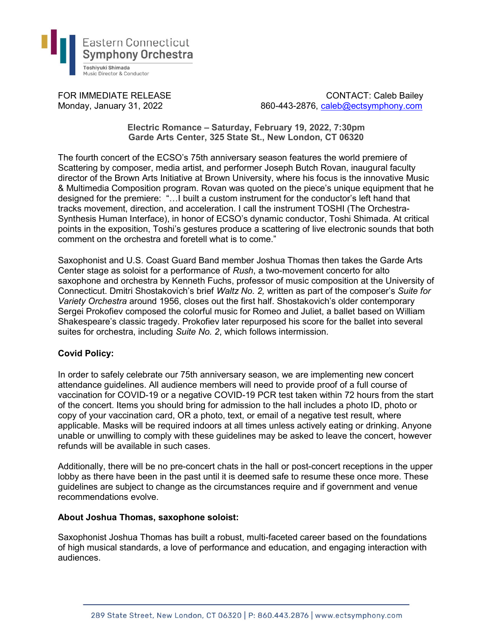

FOR IMMEDIATE RELEASE CONTACT: Caleb Bailey Monday, January 31, 2022 860-443-2876, caleb@ectsymphony.com

> Electric Romance – Saturday, February 19, 2022, 7:30pm Garde Arts Center, 325 State St., New London, CT 06320

The fourth concert of the ECSO's 75th anniversary season features the world premiere of Scattering by composer, media artist, and performer Joseph Butch Rovan, inaugural faculty director of the Brown Arts Initiative at Brown University, where his focus is the innovative Music & Multimedia Composition program. Rovan was quoted on the piece's unique equipment that he designed for the premiere: "…I built a custom instrument for the conductor's left hand that tracks movement, direction, and acceleration. I call the instrument TOSHI (The Orchestra-Synthesis Human Interface), in honor of ECSO's dynamic conductor, Toshi Shimada. At critical points in the exposition, Toshi's gestures produce a scattering of live electronic sounds that both comment on the orchestra and foretell what is to come."

Saxophonist and U.S. Coast Guard Band member Joshua Thomas then takes the Garde Arts Center stage as soloist for a performance of Rush, a two-movement concerto for alto saxophone and orchestra by Kenneth Fuchs, professor of music composition at the University of Connecticut. Dmitri Shostakovich's brief Waltz No. 2, written as part of the composer's Suite for Variety Orchestra around 1956, closes out the first half. Shostakovich's older contemporary Sergei Prokofiev composed the colorful music for Romeo and Juliet, a ballet based on William Shakespeare's classic tragedy. Prokofiev later repurposed his score for the ballet into several suites for orchestra, including Suite No. 2, which follows intermission.

## Covid Policy:

In order to safely celebrate our 75th anniversary season, we are implementing new concert attendance guidelines. All audience members will need to provide proof of a full course of vaccination for COVID-19 or a negative COVID-19 PCR test taken within 72 hours from the start of the concert. Items you should bring for admission to the hall includes a photo ID, photo or copy of your vaccination card, OR a photo, text, or email of a negative test result, where applicable. Masks will be required indoors at all times unless actively eating or drinking. Anyone unable or unwilling to comply with these guidelines may be asked to leave the concert, however refunds will be available in such cases.

Additionally, there will be no pre-concert chats in the hall or post-concert receptions in the upper lobby as there have been in the past until it is deemed safe to resume these once more. These guidelines are subject to change as the circumstances require and if government and venue recommendations evolve.

## About Joshua Thomas, saxophone soloist:

Saxophonist Joshua Thomas has built a robust, multi-faceted career based on the foundations of high musical standards, a love of performance and education, and engaging interaction with audiences.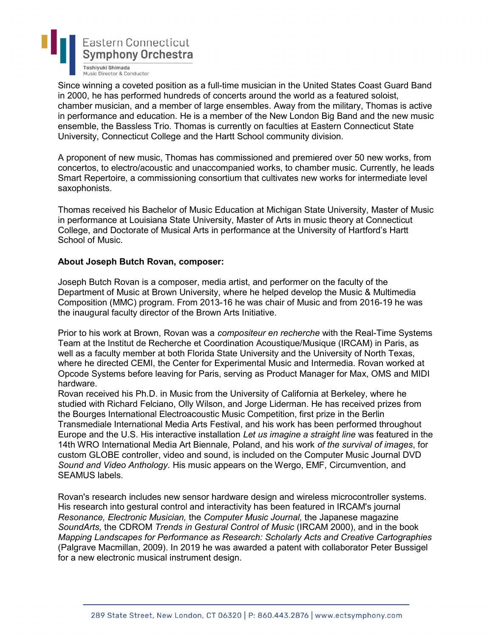

Since winning a coveted position as a full-time musician in the United States Coast Guard Band in 2000, he has performed hundreds of concerts around the world as a featured soloist, chamber musician, and a member of large ensembles. Away from the military, Thomas is active in performance and education. He is a member of the New London Big Band and the new music ensemble, the Bassless Trio. Thomas is currently on faculties at Eastern Connecticut State University, Connecticut College and the Hartt School community division.

A proponent of new music, Thomas has commissioned and premiered over 50 new works, from concertos, to electro/acoustic and unaccompanied works, to chamber music. Currently, he leads Smart Repertoire, a commissioning consortium that cultivates new works for intermediate level saxophonists.

Thomas received his Bachelor of Music Education at Michigan State University, Master of Music in performance at Louisiana State University, Master of Arts in music theory at Connecticut College, and Doctorate of Musical Arts in performance at the University of Hartford's Hartt School of Music.

## About Joseph Butch Rovan, composer:

Joseph Butch Rovan is a composer, media artist, and performer on the faculty of the Department of Music at Brown University, where he helped develop the Music & Multimedia Composition (MMC) program. From 2013-16 he was chair of Music and from 2016-19 he was the inaugural faculty director of the Brown Arts Initiative.

Prior to his work at Brown, Rovan was a compositeur en recherche with the Real-Time Systems Team at the Institut de Recherche et Coordination Acoustique/Musique (IRCAM) in Paris, as well as a faculty member at both Florida State University and the University of North Texas, where he directed CEMI, the Center for Experimental Music and Intermedia. Rovan worked at Opcode Systems before leaving for Paris, serving as Product Manager for Max, OMS and MIDI hardware.

Rovan received his Ph.D. in Music from the University of California at Berkeley, where he studied with Richard Felciano, Olly Wilson, and Jorge Liderman. He has received prizes from the Bourges International Electroacoustic Music Competition, first prize in the Berlin Transmediale International Media Arts Festival, and his work has been performed throughout Europe and the U.S. His interactive installation Let us imagine a straight line was featured in the 14th WRO International Media Art Biennale, Poland, and his work of the survival of images, for custom GLOBE controller, video and sound, is included on the Computer Music Journal DVD Sound and Video Anthology. His music appears on the Wergo, EMF, Circumvention, and SEAMUS labels.

Rovan's research includes new sensor hardware design and wireless microcontroller systems. His research into gestural control and interactivity has been featured in IRCAM's journal Resonance, Electronic Musician, the Computer Music Journal, the Japanese magazine SoundArts, the CDROM Trends in Gestural Control of Music (IRCAM 2000), and in the book Mapping Landscapes for Performance as Research: Scholarly Acts and Creative Cartographies (Palgrave Macmillan, 2009). In 2019 he was awarded a patent with collaborator Peter Bussigel for a new electronic musical instrument design.